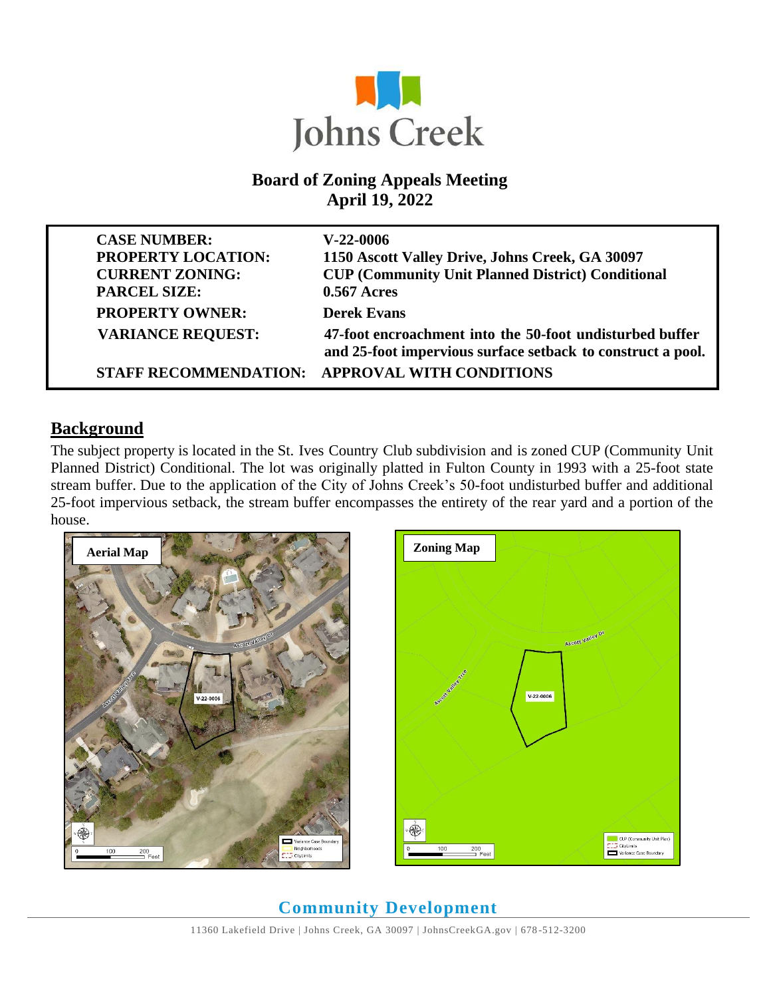

### **Board of Zoning Appeals Meeting April 19, 2022**

| <b>CASE NUMBER:</b><br><b>PROPERTY LOCATION:</b><br><b>CURRENT ZONING:</b><br><b>PARCEL SIZE:</b> | $V-22-0006$<br>1150 Ascott Valley Drive, Johns Creek, GA 30097<br><b>CUP (Community Unit Planned District) Conditional</b><br>0.567 Acres |
|---------------------------------------------------------------------------------------------------|-------------------------------------------------------------------------------------------------------------------------------------------|
| <b>PROPERTY OWNER:</b>                                                                            | <b>Derek Evans</b>                                                                                                                        |
| <b>VARIANCE REQUEST:</b>                                                                          | 47-foot encroachment into the 50-foot undisturbed buffer<br>and 25-foot impervious surface setback to construct a pool.                   |
| <b>STAFF RECOMMENDATION:</b>                                                                      | <b>APPROVAL WITH CONDITIONS</b>                                                                                                           |

#### **Background**

The subject property is located in the St. Ives Country Club subdivision and is zoned CUP (Community Unit Planned District) Conditional. The lot was originally platted in Fulton County in 1993 with a 25-foot state stream buffer. Due to the application of the City of Johns Creek's 50-foot undisturbed buffer and additional 25-foot impervious setback, the stream buffer encompasses the entirety of the rear yard and a portion of the house.





# **Community Development**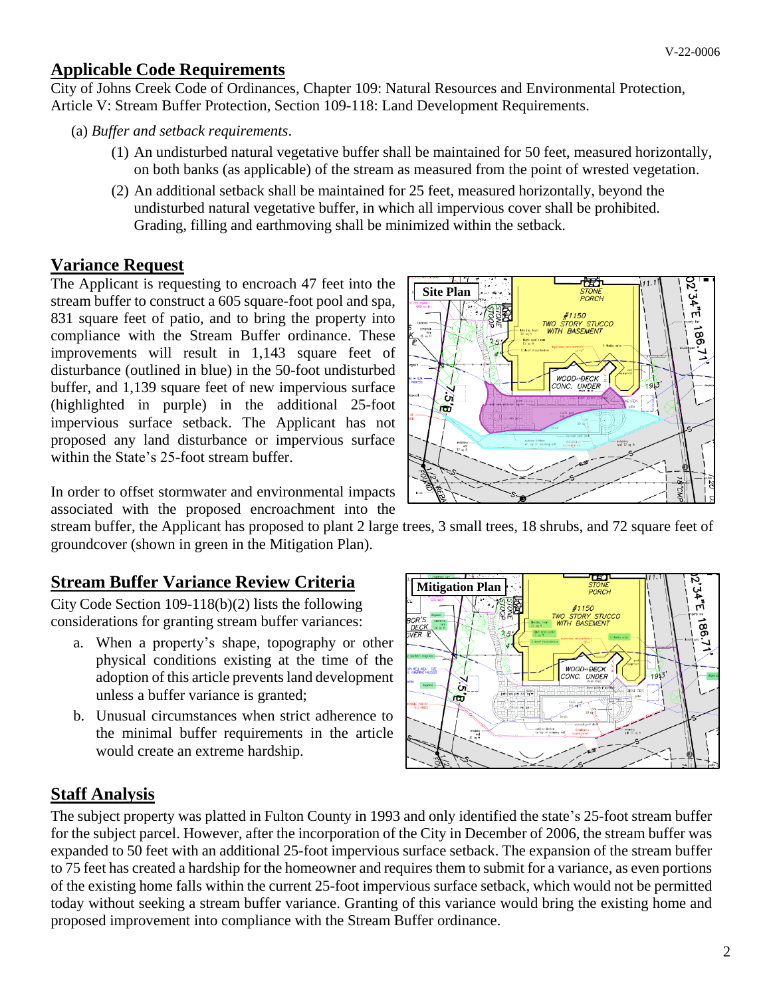#### **Applicable Code Requirements**

City of Johns Creek Code of Ordinances, Chapter 109: Natural Resources and Environmental Protection, Article V: Stream Buffer Protection, Section 109-118: Land Development Requirements.

- (a) *Buffer and setback requirements*.
	- (1) An undisturbed natural vegetative buffer shall be maintained for 50 feet, measured horizontally, on both banks (as applicable) of the stream as measured from the point of wrested vegetation.
	- (2) An additional setback shall be maintained for 25 feet, measured horizontally, beyond the undisturbed natural vegetative buffer, in which all impervious cover shall be prohibited. Grading, filling and earthmoving shall be minimized within the setback.

## **Variance Request**

The Applicant is requesting to encroach 47 feet into the stream buffer to construct a 605 square-foot pool and spa, 831 square feet of patio, and to bring the property into compliance with the Stream Buffer ordinance. These improvements will result in 1,143 square feet of disturbance (outlined in blue) in the 50-foot undisturbed buffer, and 1,139 square feet of new impervious surface (highlighted in purple) in the additional 25-foot impervious surface setback. The Applicant has not proposed any land disturbance or impervious surface within the State's 25-foot stream buffer.



In order to offset stormwater and environmental impacts associated with the proposed encroachment into the

stream buffer, the Applicant has proposed to plant 2 large trees, 3 small trees, 18 shrubs, and 72 square feet of groundcover (shown in green in the Mitigation Plan).

## **Stream Buffer Variance Review Criteria**

City Code Section 109-118(b)(2) lists the following considerations for granting stream buffer variances:

- a. When a property's shape, topography or other physical conditions existing at the time of the adoption of this article prevents land development unless a buffer variance is granted;
- b. Unusual circumstances when strict adherence to the minimal buffer requirements in the article would create an extreme hardship.



## **Staff Analysis**

The subject property was platted in Fulton County in 1993 and only identified the state's 25-foot stream buffer for the subject parcel. However, after the incorporation of the City in December of 2006, the stream buffer was expanded to 50 feet with an additional 25-foot impervious surface setback. The expansion of the stream buffer to 75 feet has created a hardship for the homeowner and requires them to submit for a variance, as even portions of the existing home falls within the current 25-foot impervious surface setback, which would not be permitted today without seeking a stream buffer variance. Granting of this variance would bring the existing home and proposed improvement into compliance with the Stream Buffer ordinance.